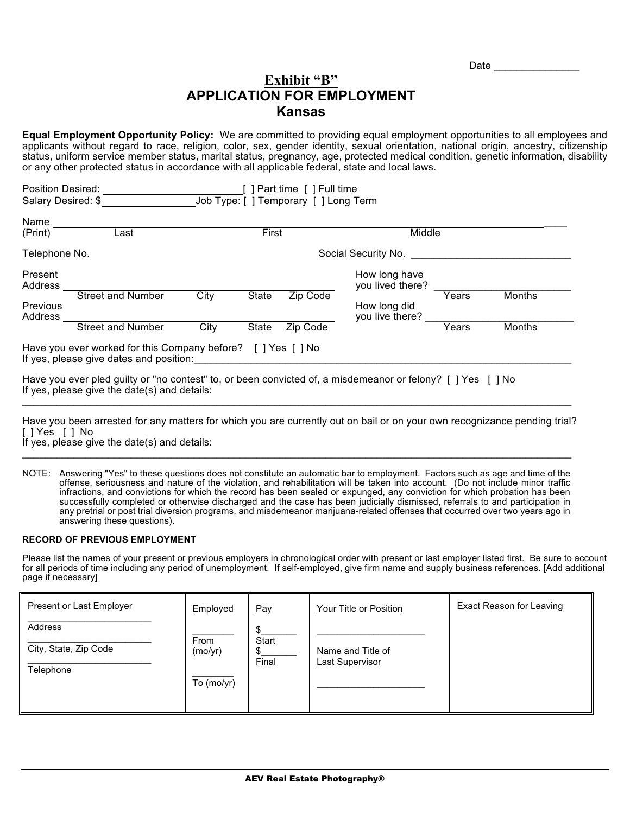Date

# **Exhibit "B" APPLICATION FOR EMPLOYMENT Kansas**

**Equal Employment Opportunity Policy:** We are committed to providing equal employment opportunities to all employees and applicants without regard to race, religion, color, sex, gender identity, sexual orientation, national origin, ancestry, citizenship status, uniform service member status, marital status, pregnancy, age, protected medical condition, genetic information, disability or any other protected status in accordance with all applicable federal, state and local laws.

| Position Desired:  | [ ] Part time [ ] Full time            |
|--------------------|----------------------------------------|
| Salary Desired: \$ | _Job Type: [ ] Temporary [ ] Long Term |

| Name<br>(Print)                                  | Last                                                                                                    | First |       |          | Middle                                                               |       |               |
|--------------------------------------------------|---------------------------------------------------------------------------------------------------------|-------|-------|----------|----------------------------------------------------------------------|-------|---------------|
| Telephone No.                                    |                                                                                                         |       |       |          | Social Security No.                                                  |       |               |
| Present<br>Address<br><b>Previous</b><br>Address | <b>Street and Number</b>                                                                                | City  | State | Zip Code | How long have<br>you lived there?<br>How long did<br>you live there? | Years | Months        |
|                                                  | <b>Street and Number</b>                                                                                | City  | State | Zip Code |                                                                      | Years | <b>Months</b> |
|                                                  | Have you ever worked for this Company before? [ ] Yes [ ] No<br>If yes, please give dates and position: |       |       |          |                                                                      |       |               |

Have you ever pled guilty or "no contest" to, or been convicted of, a misdemeanor or felony? [ ] Yes [ ] No If yes, please give the date(s) and details:  $\_$  ,  $\_$  ,  $\_$  ,  $\_$  ,  $\_$  ,  $\_$  ,  $\_$  ,  $\_$  ,  $\_$  ,  $\_$  ,  $\_$  ,  $\_$  ,  $\_$  ,  $\_$  ,  $\_$  ,  $\_$  ,  $\_$  ,  $\_$  ,  $\_$  ,  $\_$  ,  $\_$  ,  $\_$  ,  $\_$  ,  $\_$  ,  $\_$  ,  $\_$  ,  $\_$  ,  $\_$  ,  $\_$  ,  $\_$  ,  $\_$  ,  $\_$  ,  $\_$  ,  $\_$  ,  $\_$  ,  $\_$  ,  $\_$  ,

Have you been arrested for any matters for which you are currently out on bail or on your own recognizance pending trial? [ ] Yes [ ] No

If yes, please give the date(s) and details: \_\_\_\_\_\_\_\_\_\_\_\_\_\_\_\_\_\_\_\_\_\_\_\_\_\_\_\_\_\_\_\_\_\_\_\_\_\_\_\_\_\_\_\_\_\_\_\_\_\_\_\_\_\_\_\_\_\_\_\_\_\_\_\_\_\_\_\_\_\_\_\_\_\_\_\_\_\_\_\_\_\_\_\_\_\_\_\_\_\_\_\_\_\_\_\_

 $\ddot{\phantom{a}}$ 

NOTE: Answering "Yes" to these questions does not constitute an automatic bar to employment. Factors such as age and time of the offense, seriousness and nature of the violation, and rehabilitation will be taken into account. (Do not include minor traffic infractions, and convictions for which the record has been sealed or expunged, any conviction for which probation has been successfully completed or otherwise discharged and the case has been judicially dismissed, referrals to and participation in any pretrial or post trial diversion programs, and misdemeanor marijuana-related offenses that occurred over two years ago in answering these questions).

### **RECORD OF PREVIOUS EMPLOYMENT**

Please list the names of your present or previous employers in chronological order with present or last employer listed first. Be sure to account for all periods of time including any period of unemployment. If self-employed, give firm name and supply business references. [Add additional page if necessary]

| Present or Last Employer                      | Employed                      | Pay            | Your Title or Position               | Exact Reason for Leaving |
|-----------------------------------------------|-------------------------------|----------------|--------------------------------------|--------------------------|
| Address<br>City, State, Zip Code<br>Telephone | From<br>(mo/yr)<br>To (mo/yr) | Start<br>Final | Name and Title of<br>Last Supervisor |                          |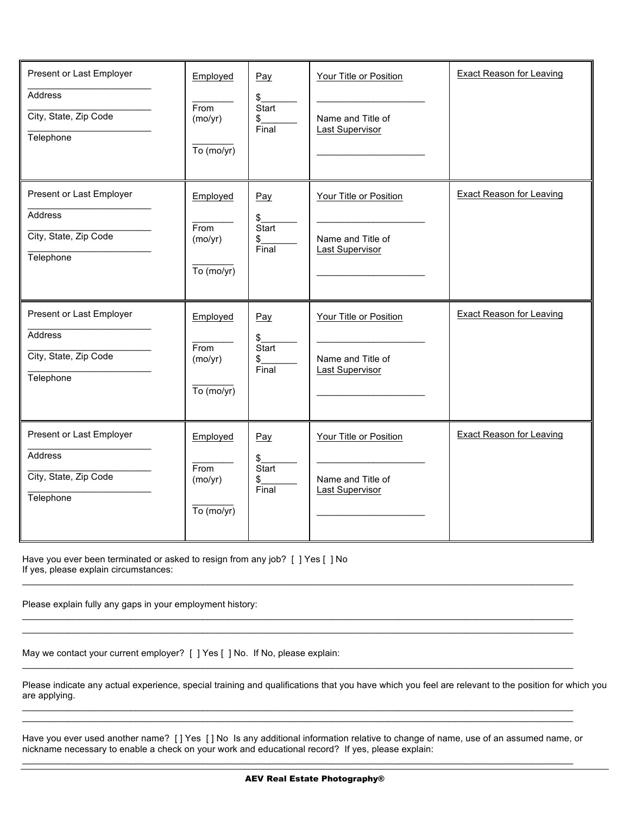| Present or Last Employer<br>Address<br>City, State, Zip Code<br>Telephone        | Employed<br>From<br>(mo/yr)<br>$\overline{To}$ (mo/yr) | Pay<br>$\frac{1}{2}$<br>Start<br>\$<br>Final  | Your Title or Position<br>Name and Title of<br><b>Last Supervisor</b> | <b>Exact Reason for Leaving</b> |
|----------------------------------------------------------------------------------|--------------------------------------------------------|-----------------------------------------------|-----------------------------------------------------------------------|---------------------------------|
| Present or Last Employer<br>Address<br>City, State, Zip Code<br>Telephone        | Employed<br>From<br>(mo/yr)<br>$\overline{To}$ (mo/yr) | Pay<br>\$<br>Start<br>\$<br>Final             | Your Title or Position<br>Name and Title of<br><b>Last Supervisor</b> | <b>Exact Reason for Leaving</b> |
| Present or Last Employer<br>Address<br>City, State, Zip Code<br>Telephone        | Employed<br>From<br>(mo/yr)<br>$\overline{To}$ (mo/yr) | Pay<br>\$_<br>Start<br>$\frac{1}{2}$<br>Final | Your Title or Position<br>Name and Title of<br><b>Last Supervisor</b> | <b>Exact Reason for Leaving</b> |
| Present or Last Employer<br><b>Address</b><br>City, State, Zip Code<br>Telephone | Employed<br>From<br>(mo/yr)<br>$\overline{To}$ (mo/yr) | Pay<br>\$<br>Start<br>\$<br>Final             | Your Title or Position<br>Name and Title of<br><b>Last Supervisor</b> | <b>Exact Reason for Leaving</b> |

Have you ever been terminated or asked to resign from any job? [ ] Yes [ ] No If yes, please explain circumstances:  $\_$  , and the state of the state of the state of the state of the state of the state of the state of the state of the state of the state of the state of the state of the state of the state of the state of the state of the

Please explain fully any gaps in your employment history:

May we contact your current employer? [ ] Yes [ ] No. If No, please explain:

Please indicate any actual experience, special training and qualifications that you have which you feel are relevant to the position for which you are applying.

Have you ever used another name? [ ] Yes [ ] No Is any additional information relative to change of name, use of an assumed name, or nickname necessary to enable a check on your work and educational record? If yes, please explain:  $\_$  , and the state of the state of the state of the state of the state of the state of the state of the state of the state of the state of the state of the state of the state of the state of the state of the state of the

 $\_$  , and the state of the state of the state of the state of the state of the state of the state of the state of the state of the state of the state of the state of the state of the state of the state of the state of the  $\_$  , and the state of the state of the state of the state of the state of the state of the state of the state of the state of the state of the state of the state of the state of the state of the state of the state of the

 $\_$  , and the state of the state of the state of the state of the state of the state of the state of the state of the state of the state of the state of the state of the state of the state of the state of the state of the

 $\_$  , and the state of the state of the state of the state of the state of the state of the state of the state of the state of the state of the state of the state of the state of the state of the state of the state of the  $\_$  , and the set of the set of the set of the set of the set of the set of the set of the set of the set of the set of the set of the set of the set of the set of the set of the set of the set of the set of the set of th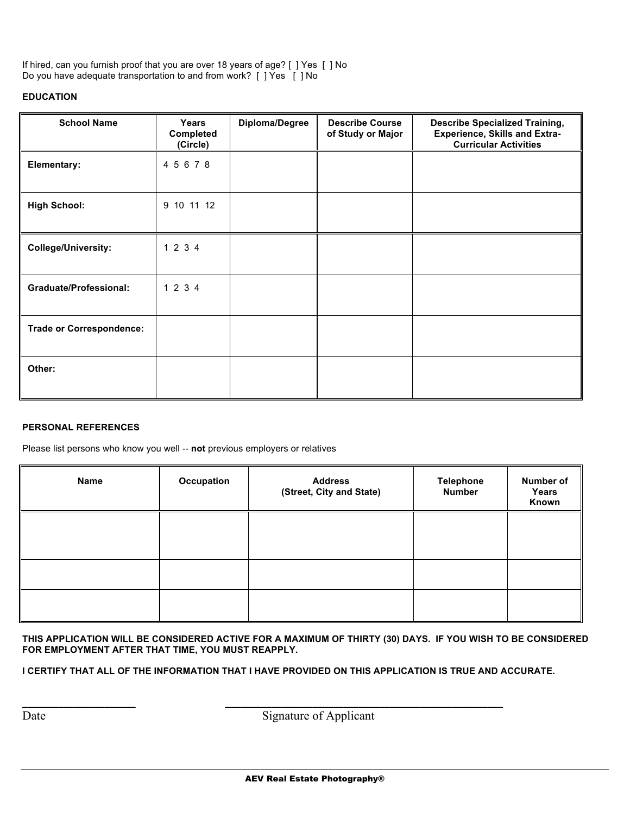If hired, can you furnish proof that you are over 18 years of age? [ ] Yes [ ] No Do you have adequate transportation to and from work? [ ] Yes [ ] No

# **EDUCATION**

| <b>School Name</b>              | <b>Years</b><br>Completed<br>(Circle) | Diploma/Degree | <b>Describe Course</b><br>of Study or Major | <b>Describe Specialized Training,</b><br><b>Experience, Skills and Extra-</b><br><b>Curricular Activities</b> |
|---------------------------------|---------------------------------------|----------------|---------------------------------------------|---------------------------------------------------------------------------------------------------------------|
| Elementary:                     | 4 5 6 7 8                             |                |                                             |                                                                                                               |
| <b>High School:</b>             | 9 10 11 12                            |                |                                             |                                                                                                               |
| <b>College/University:</b>      | 1 2 3 4                               |                |                                             |                                                                                                               |
| <b>Graduate/Professional:</b>   | 1 2 3 4                               |                |                                             |                                                                                                               |
| <b>Trade or Correspondence:</b> |                                       |                |                                             |                                                                                                               |
| Other:                          |                                       |                |                                             |                                                                                                               |

## **PERSONAL REFERENCES**

Please list persons who know you well -- **not** previous employers or relatives

| <b>Name</b> | Occupation | <b>Address</b><br>(Street, City and State) | <b>Telephone</b><br><b>Number</b> | Number of<br>Years<br>Known |
|-------------|------------|--------------------------------------------|-----------------------------------|-----------------------------|
|             |            |                                            |                                   |                             |
|             |            |                                            |                                   |                             |
|             |            |                                            |                                   |                             |

**THIS APPLICATION WILL BE CONSIDERED ACTIVE FOR A MAXIMUM OF THIRTY (30) DAYS. IF YOU WISH TO BE CONSIDERED FOR EMPLOYMENT AFTER THAT TIME, YOU MUST REAPPLY.**

**I CERTIFY THAT ALL OF THE INFORMATION THAT I HAVE PROVIDED ON THIS APPLICATION IS TRUE AND ACCURATE.**

**\_\_\_\_\_\_\_\_\_\_\_\_\_\_\_\_\_\_\_\_\_\_ \_\_\_\_\_\_\_\_\_\_\_\_\_\_\_\_\_\_\_\_\_\_\_\_\_\_\_\_\_\_\_\_\_\_\_\_\_\_\_\_\_\_\_\_\_\_\_\_\_\_\_\_\_\_**

Date Signature of Applicant